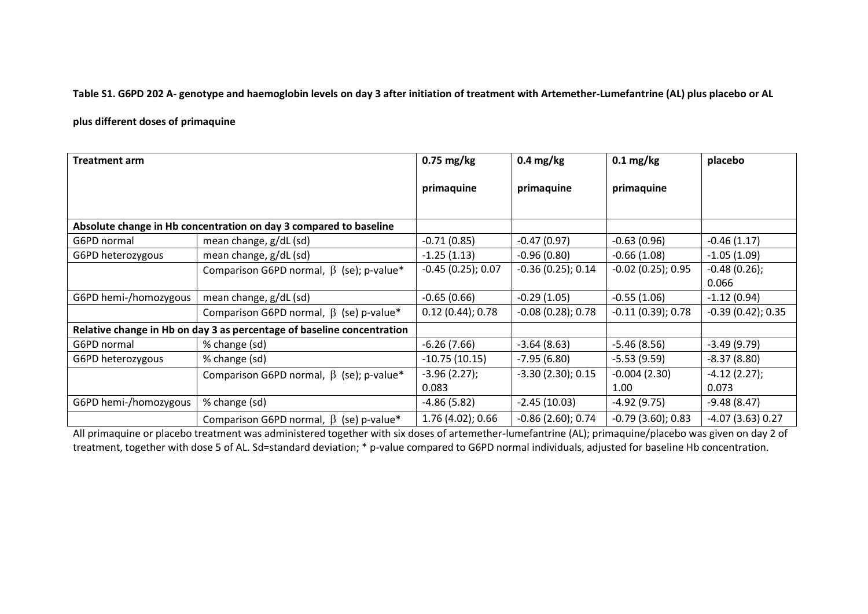**Table S1. G6PD 202 A- genotype and haemoglobin levels on day 3 after initiation of treatment with Artemether-Lumefantrine (AL) plus placebo or AL** 

## **plus different doses of primaquine**

| <b>Treatment arm</b>                                                   |                                                | $0.75$ mg/kg        | $0.4 \text{ mg/kg}$  | $0.1 \text{ mg/kg}$  | placebo             |
|------------------------------------------------------------------------|------------------------------------------------|---------------------|----------------------|----------------------|---------------------|
|                                                                        |                                                | primaquine          | primaquine           | primaquine           |                     |
| Absolute change in Hb concentration on day 3 compared to baseline      |                                                |                     |                      |                      |                     |
| G6PD normal                                                            | mean change, g/dL (sd)                         | $-0.71(0.85)$       | $-0.47(0.97)$        | $-0.63(0.96)$        | $-0.46(1.17)$       |
| G6PD heterozygous                                                      | mean change, g/dL (sd)                         | $-1.25(1.13)$       | $-0.96(0.80)$        | $-0.66(1.08)$        | $-1.05(1.09)$       |
|                                                                        | Comparison G6PD normal, $\beta$ (se); p-value* | $-0.45(0.25); 0.07$ | $-0.36(0.25)$ ; 0.14 | $-0.02$ (0.25); 0.95 | $-0.48(0.26);$      |
|                                                                        |                                                |                     |                      |                      | 0.066               |
| G6PD hemi-/homozygous                                                  | mean change, g/dL (sd)                         | $-0.65(0.66)$       | $-0.29(1.05)$        | $-0.55(1.06)$        | $-1.12(0.94)$       |
|                                                                        | Comparison G6PD normal, $\beta$ (se) p-value*  | 0.12(0.44); 0.78    | $-0.08(0.28)$ ; 0.78 | $-0.11(0.39)$ ; 0.78 | $-0.39(0.42); 0.35$ |
| Relative change in Hb on day 3 as percentage of baseline concentration |                                                |                     |                      |                      |                     |
| G6PD normal                                                            | % change (sd)                                  | $-6.26(7.66)$       | $-3.64(8.63)$        | $-5.46(8.56)$        | $-3.49(9.79)$       |
| G6PD heterozygous                                                      | % change (sd)                                  | $-10.75(10.15)$     | $-7.95(6.80)$        | $-5.53(9.59)$        | $-8.37(8.80)$       |
|                                                                        | Comparison G6PD normal, $\beta$ (se); p-value* | $-3.96(2.27);$      | $-3.30(2.30); 0.15$  | $-0.004(2.30)$       | $-4.12(2.27);$      |
|                                                                        |                                                | 0.083               |                      | 1.00                 | 0.073               |
| G6PD hemi-/homozygous                                                  | % change (sd)                                  | $-4.86(5.82)$       | $-2.45(10.03)$       | $-4.92(9.75)$        | $-9.48(8.47)$       |
|                                                                        | Comparison G6PD normal, $\beta$ (se) p-value*  | $1.76(4.02)$ ; 0.66 | $-0.86$ (2.60); 0.74 | $-0.79(3.60); 0.83$  | $-4.07(3.63)0.27$   |

All primaquine or placebo treatment was administered together with six doses of artemether-lumefantrine (AL); primaquine/placebo was given on day 2 of treatment, together with dose 5 of AL. Sd=standard deviation; \* p-value compared to G6PD normal individuals, adjusted for baseline Hb concentration.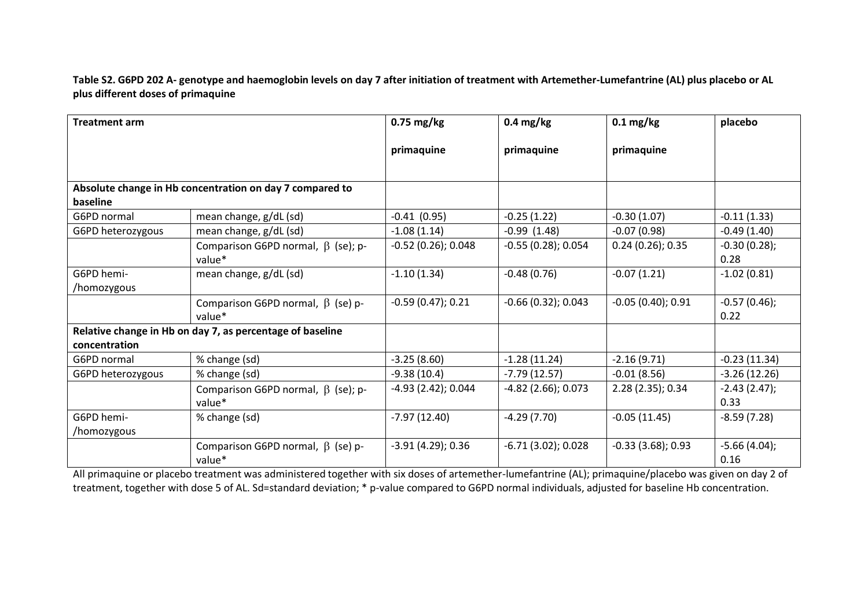**Table S2. G6PD 202 A- genotype and haemoglobin levels on day 7 after initiation of treatment with Artemether-Lumefantrine (AL) plus placebo or AL plus different doses of primaquine**

| <b>Treatment arm</b>                                                 |                                                    | $0.75$ mg/kg          | $0.4 \text{ mg/kg}$   | $0.1$ mg/kg         | placebo                |
|----------------------------------------------------------------------|----------------------------------------------------|-----------------------|-----------------------|---------------------|------------------------|
|                                                                      |                                                    | primaquine            | primaquine            | primaquine          |                        |
| Absolute change in Hb concentration on day 7 compared to<br>baseline |                                                    |                       |                       |                     |                        |
| G6PD normal                                                          | mean change, g/dL (sd)                             | $-0.41(0.95)$         | $-0.25(1.22)$         | $-0.30(1.07)$       | $-0.11(1.33)$          |
| G6PD heterozygous                                                    | mean change, g/dL (sd)                             | $-1.08(1.14)$         | $-0.99(1.48)$         | $-0.07(0.98)$       | $-0.49(1.40)$          |
|                                                                      | Comparison G6PD normal, $\beta$ (se); p-<br>value* | $-0.52(0.26)$ ; 0.048 | $-0.55(0.28); 0.054$  | $0.24(0.26)$ ; 0.35 | $-0.30(0.28);$<br>0.28 |
| G6PD hemi-<br>/homozygous                                            | mean change, g/dL (sd)                             | $-1.10(1.34)$         | $-0.48(0.76)$         | $-0.07(1.21)$       | $-1.02(0.81)$          |
|                                                                      | Comparison G6PD normal, $\beta$ (se) p-<br>value*  | $-0.59(0.47); 0.21$   | $-0.66(0.32)$ ; 0.043 | $-0.05(0.40); 0.91$ | $-0.57(0.46);$<br>0.22 |
| Relative change in Hb on day 7, as percentage of baseline            |                                                    |                       |                       |                     |                        |
| concentration                                                        |                                                    |                       |                       |                     |                        |
| G6PD normal                                                          | % change (sd)                                      | $-3.25(8.60)$         | $-1.28(11.24)$        | $-2.16(9.71)$       | $-0.23(11.34)$         |
| G6PD heterozygous                                                    | % change (sd)                                      | $-9.38(10.4)$         | $-7.79(12.57)$        | $-0.01(8.56)$       | $-3.26(12.26)$         |
|                                                                      | Comparison G6PD normal, $\beta$ (se); p-<br>value* | $-4.93$ (2.42); 0.044 | -4.82 (2.66); 0.073   | 2.28 (2.35); 0.34   | $-2.43(2.47);$<br>0.33 |
| G6PD hemi-<br>/homozygous                                            | % change (sd)                                      | $-7.97(12.40)$        | $-4.29(7.70)$         | $-0.05(11.45)$      | $-8.59(7.28)$          |
|                                                                      | Comparison G6PD normal, $\beta$ (se) p-<br>value*  | $-3.91(4.29)$ ; 0.36  | $-6.71(3.02)$ ; 0.028 | $-0.33(3.68);0.93$  | $-5.66(4.04);$<br>0.16 |

All primaquine or placebo treatment was administered together with six doses of artemether-lumefantrine (AL); primaquine/placebo was given on day 2 of treatment, together with dose 5 of AL. Sd=standard deviation; \* p-value compared to G6PD normal individuals, adjusted for baseline Hb concentration.